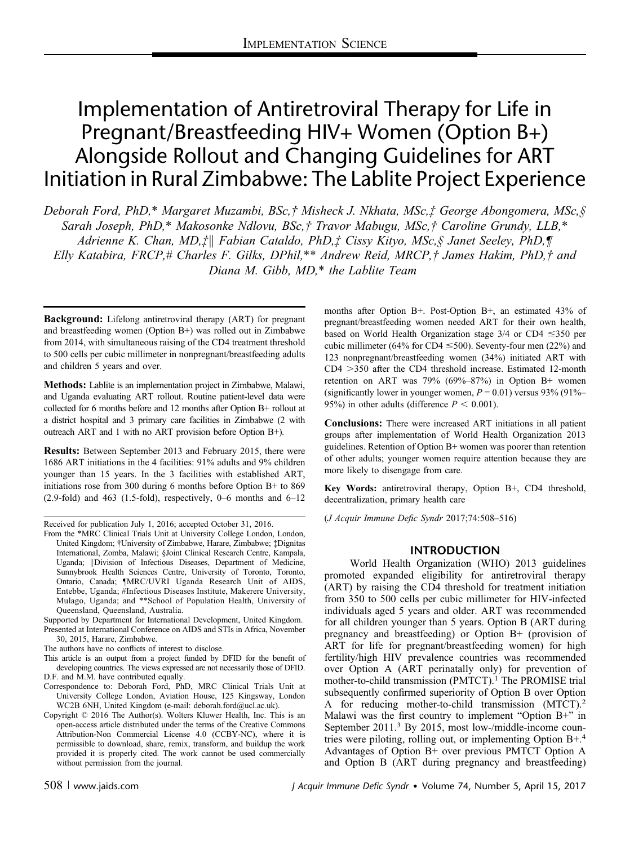# Implementation of Antiretroviral Therapy for Life in Pregnant/Breastfeeding HIV+ Women (Option B+) Alongside Rollout and Changing Guidelines for ART Initiation in Rural Zimbabwe: The Lablite Project Experience

Deborah Ford, PhD,\* Margaret Muzambi, BSc,† Misheck J. Nkhata, MSc,‡ George Abongomera, MSc,§ Sarah Joseph, PhD,\* Makosonke Ndlovu, BSc,† Travor Mabugu, MSc,† Caroline Grundy, LLB,\* Adrienne K. Chan, MD, $\ddagger$ || Fabian Cataldo, PhD, $\ddagger$  Cissy Kityo, MSc, $\zeta$  Janet Seeley, PhD, $\P$ Elly Katabira, FRCP,# Charles F. Gilks, DPhil,\*\* Andrew Reid, MRCP,† James Hakim, PhD,† and Diana M. Gibb, MD,\* the Lablite Team

Background: Lifelong antiretroviral therapy (ART) for pregnant and breastfeeding women (Option B+) was rolled out in Zimbabwe from 2014, with simultaneous raising of the CD4 treatment threshold to 500 cells per cubic millimeter in nonpregnant/breastfeeding adults and children 5 years and over.

Methods: Lablite is an implementation project in Zimbabwe, Malawi, and Uganda evaluating ART rollout. Routine patient-level data were collected for 6 months before and 12 months after Option B+ rollout at a district hospital and 3 primary care facilities in Zimbabwe (2 with outreach ART and 1 with no ART provision before Option B+).

Results: Between September 2013 and February 2015, there were 1686 ART initiations in the 4 facilities: 91% adults and 9% children younger than 15 years. In the 3 facilities with established ART, initiations rose from 300 during 6 months before Option B+ to 869  $(2.9-fold)$  and 463  $(1.5-fold)$ , respectively, 0–6 months and 6–12

Received for publication July 1, 2016; accepted October 31, 2016.

From the \*MRC Clinical Trials Unit at University College London, London, United Kingdom; †University of Zimbabwe, Harare, Zimbabwe; ‡Dignitas International, Zomba, Malawi; §Joint Clinical Research Centre, Kampala, Uganda; ||Division of Infectious Diseases, Department of Medicine, Sunnybrook Health Sciences Centre, University of Toronto, Toronto, Ontario, Canada; ¶MRC/UVRI Uganda Research Unit of AIDS, Entebbe, Uganda; #Infectious Diseases Institute, Makerere University, Mulago, Uganda; and \*\*School of Population Health, University of Queensland, Queensland, Australia.

Supported by Department for International Development, United Kingdom. Presented at International Conference on AIDS and STIs in Africa, November 30, 2015, Harare, Zimbabwe.

- The authors have no conflicts of interest to disclose.
- This article is an output from a project funded by DFID for the benefit of developing countries. The views expressed are not necessarily those of DFID. D.F. and M.M. have contributed equally.
- Correspondence to: Deborah Ford, PhD, MRC Clinical Trials Unit at University College London, Aviation House, 125 Kingsway, London WC2B 6NH, United Kingdom (e-mail: [deborah.ford@ucl.ac.uk\)](mailto:deborah.ford@ucl.ac.uk).
- Copyright © 2016 The Author(s). Wolters Kluwer Health, Inc. This is an open-access article distributed under the terms of the [Creative Commons](http://creativecommons.org/licenses/by-nc/4.0/) [Attribution-Non Commercial License 4.0](http://creativecommons.org/licenses/by-nc/4.0/) (CCBY-NC), where it is permissible to download, share, remix, transform, and buildup the work provided it is properly cited. The work cannot be used commercially without permission from the journal.

months after Option B+. Post-Option B+, an estimated 43% of pregnant/breastfeeding women needed ART for their own health, based on World Health Organization stage  $3/4$  or CD4  $\leq$  350 per cubic millimeter (64% for CD4  $\leq$  500). Seventy-four men (22%) and 123 nonpregnant/breastfeeding women (34%) initiated ART with CD4 > 350 after the CD4 threshold increase. Estimated 12-month retention on ART was 79% (69%–87%) in Option B+ women (significantly lower in younger women,  $P = 0.01$ ) versus 93% (91%– 95%) in other adults (difference  $P < 0.001$ ).

Conclusions: There were increased ART initiations in all patient groups after implementation of World Health Organization 2013 guidelines. Retention of Option B+ women was poorer than retention of other adults; younger women require attention because they are more likely to disengage from care.

Key Words: antiretroviral therapy, Option B+, CD4 threshold, decentralization, primary health care

(J Acquir Immune Defic Syndr 2017;74:508–516)

### INTRODUCTION

World Health Organization (WHO) 2013 guidelines promoted expanded eligibility for antiretroviral therapy (ART) by raising the CD4 threshold for treatment initiation from 350 to 500 cells per cubic millimeter for HIV-infected individuals aged 5 years and older. ART was recommended for all children younger than 5 years. Option B (ART during pregnancy and breastfeeding) or Option B+ (provision of ART for life for pregnant/breastfeeding women) for high fertility/high HIV prevalence countries was recommended over Option A (ART perinatally only) for prevention of mother-to-child transmission (PMTCT).<sup>1</sup> The PROMISE trial subsequently confirmed superiority of Option B over Option A for reducing mother-to-child transmission (MTCT).<sup>2</sup> Malawi was the first country to implement "Option B+" in September 2011.<sup>3</sup> By 2015, most low-/middle-income countries were piloting, rolling out, or implementing Option B+.<sup>4</sup> Advantages of Option B+ over previous PMTCT Option A and Option B (ART during pregnancy and breastfeeding)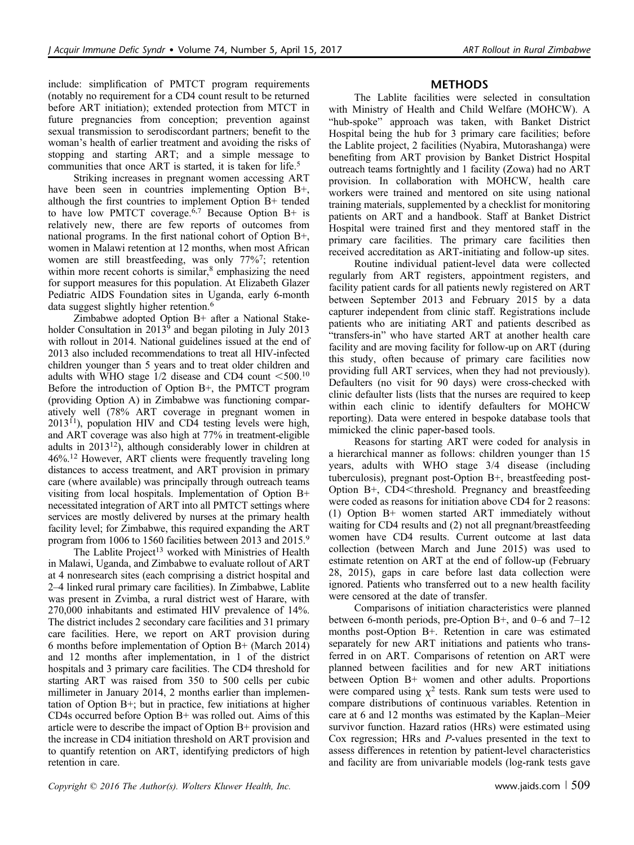include: simplification of PMTCT program requirements (notably no requirement for a CD4 count result to be returned before ART initiation); extended protection from MTCT in future pregnancies from conception; prevention against sexual transmission to serodiscordant partners; benefit to the woman's health of earlier treatment and avoiding the risks of stopping and starting ART; and a simple message to communities that once ART is started, it is taken for life.<sup>5</sup>

Striking increases in pregnant women accessing ART have been seen in countries implementing Option B+, although the first countries to implement Option B+ tended to have low PMTCT coverage.<sup>6,7</sup> Because Option B+ is relatively new, there are few reports of outcomes from national programs. In the first national cohort of Option B+, women in Malawi retention at 12 months, when most African women are still breastfeeding, was only 77%<sup>7</sup>; retention within more recent cohorts is similar,<sup>8</sup> emphasizing the need for support measures for this population. At Elizabeth Glazer Pediatric AIDS Foundation sites in Uganda, early 6-month data suggest slightly higher retention.<sup>6</sup>

Zimbabwe adopted Option B+ after a National Stakeholder Consultation in 2013<sup>9</sup> and began piloting in July 2013 with rollout in 2014. National guidelines issued at the end of 2013 also included recommendations to treat all HIV-infected children younger than 5 years and to treat older children and adults with WHO stage  $1/2$  disease and CD4 count  $\leq 500$ .<sup>10</sup> Before the introduction of Option B+, the PMTCT program (providing Option A) in Zimbabwe was functioning comparatively well (78% ART coverage in pregnant women in 201311), population HIV and CD4 testing levels were high, and ART coverage was also high at 77% in treatment-eligible adults in  $2013^{12}$ ), although considerably lower in children at 46%.12 However, ART clients were frequently traveling long distances to access treatment, and ART provision in primary care (where available) was principally through outreach teams visiting from local hospitals. Implementation of Option B+ necessitated integration of ART into all PMTCT settings where services are mostly delivered by nurses at the primary health facility level; for Zimbabwe, this required expanding the ART program from 1006 to 1560 facilities between 2013 and 2015.9

The Lablite Project<sup>13</sup> worked with Ministries of Health in Malawi, Uganda, and Zimbabwe to evaluate rollout of ART at 4 nonresearch sites (each comprising a district hospital and 2–4 linked rural primary care facilities). In Zimbabwe, Lablite was present in Zvimba, a rural district west of Harare, with 270,000 inhabitants and estimated HIV prevalence of 14%. The district includes 2 secondary care facilities and 31 primary care facilities. Here, we report on ART provision during 6 months before implementation of Option B+ (March 2014) and 12 months after implementation, in 1 of the district hospitals and 3 primary care facilities. The CD4 threshold for starting ART was raised from 350 to 500 cells per cubic millimeter in January 2014, 2 months earlier than implementation of Option B+; but in practice, few initiations at higher CD4s occurred before Option B+ was rolled out. Aims of this article were to describe the impact of Option B+ provision and the increase in CD4 initiation threshold on ART provision and to quantify retention on ART, identifying predictors of high retention in care.

# METHODS

The Lablite facilities were selected in consultation with Ministry of Health and Child Welfare (MOHCW). A "hub-spoke" approach was taken, with Banket District Hospital being the hub for 3 primary care facilities; before the Lablite project, 2 facilities (Nyabira, Mutorashanga) were benefiting from ART provision by Banket District Hospital outreach teams fortnightly and 1 facility (Zowa) had no ART provision. In collaboration with MOHCW, health care workers were trained and mentored on site using national training materials, supplemented by a checklist for monitoring patients on ART and a handbook. Staff at Banket District Hospital were trained first and they mentored staff in the primary care facilities. The primary care facilities then received accreditation as ART-initiating and follow-up sites.

Routine individual patient-level data were collected regularly from ART registers, appointment registers, and facility patient cards for all patients newly registered on ART between September 2013 and February 2015 by a data capturer independent from clinic staff. Registrations include patients who are initiating ART and patients described as "transfers-in" who have started ART at another health care facility and are moving facility for follow-up on ART (during this study, often because of primary care facilities now providing full ART services, when they had not previously). Defaulters (no visit for 90 days) were cross-checked with clinic defaulter lists (lists that the nurses are required to keep within each clinic to identify defaulters for MOHCW reporting). Data were entered in bespoke database tools that mimicked the clinic paper-based tools.

Reasons for starting ART were coded for analysis in a hierarchical manner as follows: children younger than 15 years, adults with WHO stage 3/4 disease (including tuberculosis), pregnant post-Option B+, breastfeeding post-Option  $B<sub>+</sub>$ , CD4 $\lt$ threshold. Pregnancy and breastfeeding were coded as reasons for initiation above CD4 for 2 reasons: (1) Option B+ women started ART immediately without waiting for CD4 results and (2) not all pregnant/breastfeeding women have CD4 results. Current outcome at last data collection (between March and June 2015) was used to estimate retention on ART at the end of follow-up (February 28, 2015), gaps in care before last data collection were ignored. Patients who transferred out to a new health facility were censored at the date of transfer.

Comparisons of initiation characteristics were planned between 6-month periods, pre-Option B+, and 0–6 and 7–12 months post-Option B+. Retention in care was estimated separately for new ART initiations and patients who transferred in on ART. Comparisons of retention on ART were planned between facilities and for new ART initiations between Option B+ women and other adults. Proportions were compared using  $\chi^2$  tests. Rank sum tests were used to compare distributions of continuous variables. Retention in care at 6 and 12 months was estimated by the Kaplan–Meier survivor function. Hazard ratios (HRs) were estimated using Cox regression; HRs and P-values presented in the text to assess differences in retention by patient-level characteristics and facility are from univariable models (log-rank tests gave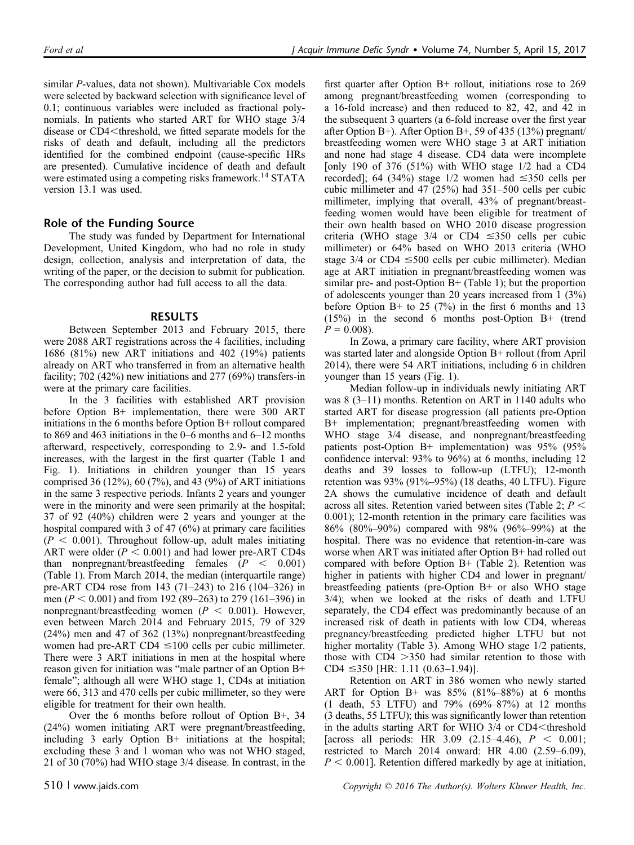similar P-values, data not shown). Multivariable Cox models were selected by backward selection with significance level of 0.1; continuous variables were included as fractional polynomials. In patients who started ART for WHO stage 3/4 disease or CD4<threshold, we fitted separate models for the risks of death and default, including all the predictors identified for the combined endpoint (cause-specific HRs are presented). Cumulative incidence of death and default were estimated using a competing risks framework.<sup>14</sup> STATA version 13.1 was used.

# Role of the Funding Source

The study was funded by Department for International Development, United Kingdom, who had no role in study design, collection, analysis and interpretation of data, the writing of the paper, or the decision to submit for publication. The corresponding author had full access to all the data.

### RESULTS

Between September 2013 and February 2015, there were 2088 ART registrations across the 4 facilities, including 1686 (81%) new ART initiations and 402 (19%) patients already on ART who transferred in from an alternative health facility; 702 (42%) new initiations and 277 (69%) transfers-in were at the primary care facilities.

In the 3 facilities with established ART provision before Option B+ implementation, there were 300 ART initiations in the 6 months before Option B+ rollout compared to 869 and 463 initiations in the 0–6 months and 6–12 months afterward, respectively, corresponding to 2.9- and 1.5-fold increases, with the largest in the first quarter (Table 1 and Fig. 1). Initiations in children younger than 15 years comprised 36 (12%), 60 (7%), and 43 (9%) of ART initiations in the same 3 respective periods. Infants 2 years and younger were in the minority and were seen primarily at the hospital; 37 of 92 (40%) children were 2 years and younger at the hospital compared with 3 of 47 (6%) at primary care facilities  $(P < 0.001)$ . Throughout follow-up, adult males initiating ART were older ( $P < 0.001$ ) and had lower pre-ART CD4s than nonpregnant/breastfeeding females  $(P < 0.001)$ (Table 1). From March 2014, the median (interquartile range) pre-ART CD4 rose from 143 (71–243) to 216 (104–326) in men ( $P < 0.001$ ) and from 192 (89–263) to 279 (161–396) in nonpregnant/breastfeeding women ( $P < 0.001$ ). However, even between March 2014 and February 2015, 79 of 329 (24%) men and 47 of 362 (13%) nonpregnant/breastfeeding women had pre-ART CD4  $\leq$ 100 cells per cubic millimeter. There were 3 ART initiations in men at the hospital where reason given for initiation was "male partner of an Option B+ female"; although all were WHO stage 1, CD4s at initiation were 66, 313 and 470 cells per cubic millimeter, so they were eligible for treatment for their own health.

Over the 6 months before rollout of Option B+, 34 (24%) women initiating ART were pregnant/breastfeeding, including 3 early Option B+ initiations at the hospital; excluding these 3 and 1 woman who was not WHO staged, 21 of 30 (70%) had WHO stage 3/4 disease. In contrast, in the first quarter after Option B+ rollout, initiations rose to 269 among pregnant/breastfeeding women (corresponding to a 16-fold increase) and then reduced to 82, 42, and 42 in the subsequent 3 quarters (a 6-fold increase over the first year after Option B+). After Option B+, 59 of 435 (13%) pregnant/ breastfeeding women were WHO stage 3 at ART initiation and none had stage 4 disease. CD4 data were incomplete [only 190 of 376 (51%) with WHO stage 1/2 had a CD4 recorded]; 64 (34%) stage 1/2 women had  $\leq$ 350 cells per cubic millimeter and 47 (25%) had 351–500 cells per cubic millimeter, implying that overall, 43% of pregnant/breastfeeding women would have been eligible for treatment of their own health based on WHO 2010 disease progression criteria (WHO stage  $3/4$  or CD4  $\leq 350$  cells per cubic millimeter) or 64% based on WHO 2013 criteria (WHO stage  $3/4$  or CD4  $\leq$  500 cells per cubic millimeter). Median age at ART initiation in pregnant/breastfeeding women was similar pre- and post-Option B+ (Table 1); but the proportion of adolescents younger than 20 years increased from 1 (3%) before Option B+ to 25 (7%) in the first 6 months and 13 (15%) in the second 6 months post-Option B+ (trend  $P = 0.008$ ).

In Zowa, a primary care facility, where ART provision was started later and alongside Option B+ rollout (from April 2014), there were 54 ART initiations, including 6 in children younger than 15 years (Fig. 1).

Median follow-up in individuals newly initiating ART was 8 (3–11) months. Retention on ART in 1140 adults who started ART for disease progression (all patients pre-Option B+ implementation; pregnant/breastfeeding women with WHO stage 3/4 disease, and nonpregnant/breastfeeding patients post-Option B+ implementation) was 95% (95% confidence interval: 93% to 96%) at 6 months, including 12 deaths and 39 losses to follow-up (LTFU); 12-month retention was 93% (91%–95%) (18 deaths, 40 LTFU). Figure 2A shows the cumulative incidence of death and default across all sites. Retention varied between sites (Table 2;  $P \leq$ 0.001); 12-month retention in the primary care facilities was 86% (80%–90%) compared with 98% (96%–99%) at the hospital. There was no evidence that retention-in-care was worse when ART was initiated after Option B+ had rolled out compared with before Option B+ (Table 2). Retention was higher in patients with higher CD4 and lower in pregnant/ breastfeeding patients (pre-Option B+ or also WHO stage 3/4); when we looked at the risks of death and LTFU separately, the CD4 effect was predominantly because of an increased risk of death in patients with low CD4, whereas pregnancy/breastfeeding predicted higher LTFU but not higher mortality (Table 3). Among WHO stage 1/2 patients, those with  $CD4 > 350$  had similar retention to those with  $CD4 \leq 350$  [HR: 1.11 (0.63-1.94)].

Retention on ART in 386 women who newly started ART for Option B+ was 85% (81%–88%) at 6 months (1 death, 53 LTFU) and 79% (69%–87%) at 12 months (3 deaths, 55 LTFU); this was significantly lower than retention in the adults starting ART for WHO 3/4 or CD4 $\leq$ threshold [across all periods: HR 3.09 (2.15–4.46),  $P < 0.001$ ; restricted to March 2014 onward: HR 4.00 (2.59–6.09),  $P < 0.001$ ]. Retention differed markedly by age at initiation,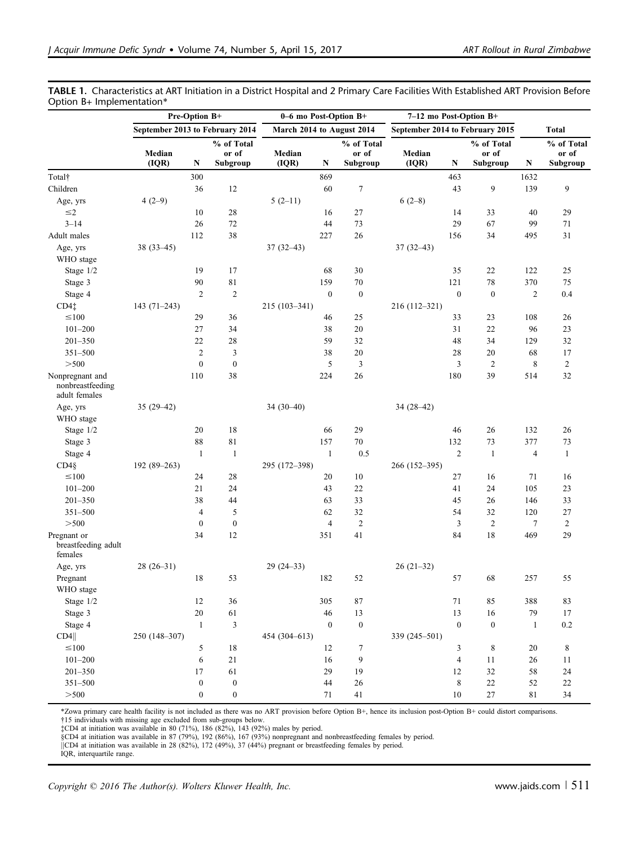TABLE 1. Characteristics at ART Initiation in a District Hospital and 2 Primary Care Facilities With Established ART Provision Before Option B+ Implementation\*

|                                                      | Pre-Option B+                   |                  | 0-6 mo Post-Option B+           |                 |                  | 7-12 mo Post-Option B+          |                 |                  |                                 |                |                                 |
|------------------------------------------------------|---------------------------------|------------------|---------------------------------|-----------------|------------------|---------------------------------|-----------------|------------------|---------------------------------|----------------|---------------------------------|
|                                                      | September 2013 to February 2014 |                  | March 2014 to August 2014       |                 |                  | September 2014 to February 2015 |                 |                  |                                 | <b>Total</b>   |                                 |
|                                                      | Median<br>(IQR)                 | N                | % of Total<br>or of<br>Subgroup | Median<br>(IQR) | N                | % of Total<br>or of<br>Subgroup | Median<br>(IQR) | N                | % of Total<br>or of<br>Subgroup | N              | % of Total<br>or of<br>Subgroup |
| Total†                                               |                                 | 300              |                                 |                 | 869              |                                 |                 | 463              |                                 | 1632           |                                 |
| Children                                             |                                 | 36               | 12                              |                 | 60               | $\boldsymbol{7}$                |                 | 43               | 9                               | 139            | 9                               |
| Age, yrs                                             | $4(2-9)$                        |                  |                                 | $5(2-11)$       |                  |                                 | $6(2-8)$        |                  |                                 |                |                                 |
| $\leq$ 2                                             |                                 | 10               | 28                              |                 | 16               | 27                              |                 | 14               | 33                              | 40             | 29                              |
| $3 - 14$                                             |                                 | 26               | 72                              |                 | 44               | 73                              |                 | 29               | 67                              | 99             | 71                              |
| Adult males                                          |                                 | 112              | 38                              |                 | 227              | 26                              |                 | 156              | 34                              | 495            | 31                              |
| Age, yrs                                             | $38(33 - 45)$                   |                  |                                 | $37(32 - 43)$   |                  |                                 | $37(32 - 43)$   |                  |                                 |                |                                 |
| WHO stage                                            |                                 |                  |                                 |                 |                  |                                 |                 |                  |                                 |                |                                 |
| Stage 1/2                                            |                                 | 19               | 17                              |                 | 68               | 30                              |                 | 35               | 22                              | 122            | 25                              |
| Stage 3                                              |                                 | 90               | 81                              |                 | 159              | 70                              |                 | 121              | $78\,$                          | 370            | 75                              |
| Stage 4                                              |                                 | $\overline{2}$   | $\overline{2}$                  |                 | $\mathbf{0}$     | $\boldsymbol{0}$                |                 | $\mathbf{0}$     | $\boldsymbol{0}$                | $\overline{c}$ | 0.4                             |
| CD4 <sup>†</sup>                                     | $143(71-243)$                   |                  |                                 | 215 (103-341)   |                  |                                 | 216 (112-321)   |                  |                                 |                |                                 |
| $\leq 100$                                           |                                 | 29               | 36                              |                 | 46               | 25                              |                 | 33               | 23                              | 108            | 26                              |
| $101 - 200$                                          |                                 | 27               | 34                              |                 | 38               | 20                              |                 | 31               | 22                              | 96             | 23                              |
| $201 - 350$                                          |                                 | 22               | 28                              |                 | 59               | 32                              |                 | 48               | 34                              | 129            | 32                              |
| $351 - 500$                                          |                                 | $\overline{2}$   | 3                               |                 | 38               | 20                              |                 | 28               | 20                              | 68             | 17                              |
| >500                                                 |                                 | $\boldsymbol{0}$ | $\boldsymbol{0}$                |                 | 5                | $\mathfrak{Z}$                  |                 | $\mathfrak{Z}$   | $\sqrt{2}$                      | $\,$ 8 $\,$    | $\sqrt{2}$                      |
| Nonpregnant and<br>nonbreastfeeding<br>adult females |                                 | 110              | 38                              |                 | 224              | 26                              |                 | 180              | 39                              | 514            | 32                              |
| Age, yrs                                             | $35(29-42)$                     |                  |                                 | $34(30-40)$     |                  |                                 | 34 (28-42)      |                  |                                 |                |                                 |
| WHO stage                                            |                                 |                  |                                 |                 |                  |                                 |                 |                  |                                 |                |                                 |
| Stage 1/2                                            |                                 | 20               | 18                              |                 | 66               | 29                              |                 | 46               | 26                              | 132            | 26                              |
| Stage 3                                              |                                 | 88               | 81                              |                 | 157              | 70                              |                 | 132              | 73                              | 377            | 73                              |
| Stage 4                                              |                                 | $\mathbf{1}$     | $\mathbf{1}$                    |                 | $\mathbf{1}$     | 0.5                             |                 | $\overline{2}$   | 1                               | $\overline{4}$ | $\mathbf{1}$                    |
| $CD4\$                                               | $192(89 - 263)$                 |                  |                                 | 295 (172-398)   |                  |                                 | 266 (152-395)   |                  |                                 |                |                                 |
| $\leq 100$                                           |                                 | 24               | 28                              |                 | 20               | 10                              |                 | 27               | 16                              | 71             | 16                              |
| $101 - 200$                                          |                                 | 21               | 24                              |                 | 43               | 22                              |                 | 41               | 24                              | 105            | 23                              |
| $201 - 350$                                          |                                 | 38               | 44                              |                 | 63               | 33                              |                 | 45               | 26                              | 146            | 33                              |
| $351 - 500$                                          |                                 | 4                | 5                               |                 | 62               | 32                              |                 | 54               | 32                              | 120            | 27                              |
| $>500$                                               |                                 | $\boldsymbol{0}$ | $\boldsymbol{0}$                |                 | $\overline{4}$   | $\overline{2}$                  |                 | 3                | $\overline{c}$                  | 7              | $\overline{2}$                  |
| Pregnant or<br>breastfeeding adult<br>females        |                                 | 34               | 12                              |                 | 351              | 41                              |                 | 84               | 18                              | 469            | 29                              |
| Age, yrs                                             | $28(26-31)$                     |                  |                                 | $29(24-33)$     |                  |                                 | $26(21-32)$     |                  |                                 |                |                                 |
| Pregnant                                             |                                 | 18               | 53                              |                 | 182              | 52                              |                 | 57               | 68                              | 257            | 55                              |
| WHO stage                                            |                                 |                  |                                 |                 |                  |                                 |                 |                  |                                 |                |                                 |
| Stage 1/2                                            |                                 | 12               | 36                              |                 | 305              | $87\,$                          |                 | $71\,$           | 85                              | 388            | 83                              |
| Stage 3                                              |                                 | $20\,$           | 61                              |                 | $46\,$           | 13                              |                 | 13               | 16                              | 79             | 17                              |
| Stage 4                                              |                                 | $\mathbf{1}$     | $\mathfrak{Z}$                  |                 | $\boldsymbol{0}$ | $\boldsymbol{0}$                |                 | $\boldsymbol{0}$ | $\boldsymbol{0}$                | $\mathbf{1}$   | $0.2\,$                         |
| CD4                                                  | 250 (148-307)                   |                  |                                 | 454 (304-613)   |                  |                                 | 339 (245-501)   |                  |                                 |                |                                 |
| $\leq 100$                                           |                                 | 5                | $18\,$                          |                 | 12               | $\tau$                          |                 | 3                | $\,$ 8 $\,$                     | 20             | $\,$ 8 $\,$                     |
| $101 - 200$                                          |                                 | 6                | $21\,$                          |                 | 16               | 9                               |                 | $\overline{4}$   | 11                              | 26             | 11                              |
| $201 - 350$                                          |                                 | 17               | 61                              |                 | 29               | 19                              |                 | 12               | $32\,$                          | 58             | $24\,$                          |
| 351-500                                              |                                 | $\boldsymbol{0}$ | $\boldsymbol{0}$                |                 | $44$             | $26\,$                          |                 | $\,$ 8 $\,$      | $22\,$                          | 52             | $22\,$                          |
| $>\!\!500$                                           |                                 | $\boldsymbol{0}$ | $\boldsymbol{0}$                |                 | 71               | 41                              |                 | 10               | 27                              | $81\,$         | 34                              |

\*Zowa primary care health facility is not included as there was no ART provision before Option B+, hence its inclusion post-Option B+ could distort comparisons. †15 individuals with missing age excluded from sub-groups below.

‡CD4 at initiation was available in 80 (71%), 186 (82%), 143 (92%) males by period. §CD4 at initiation was available in 87 (79%), 192 (86%), 167 (93%) nonpregnant and nonbreastfeeding females by period.

 $\parallel$ CD4 at initiation was available in 28 (82%), 172 (49%), 37 (44%) pregnant or breastfeeding females by period.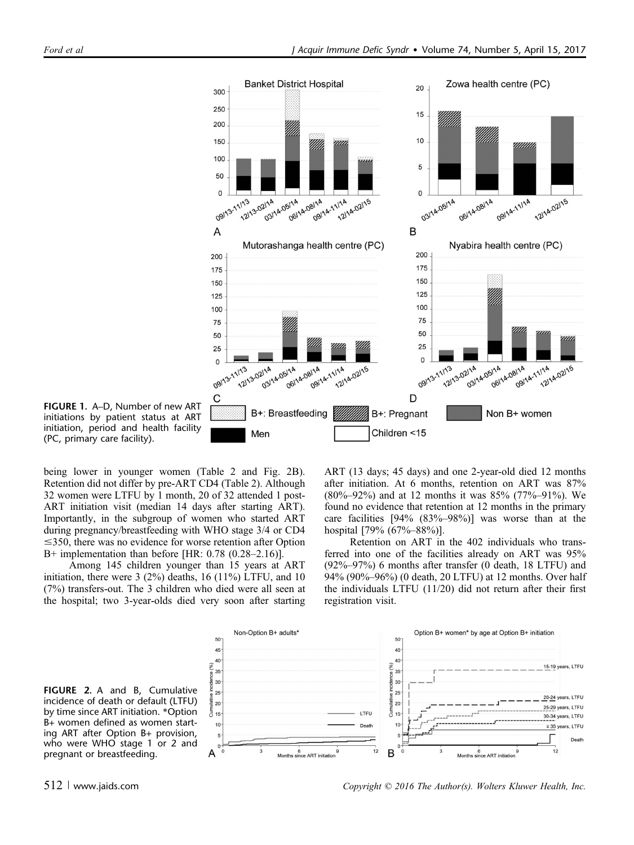

FIGURE 1. A–D, Number of new ART initiations by patient status at ART initiation, period and health facility (PC, primary care facility).

being lower in younger women (Table 2 and Fig. 2B). Retention did not differ by pre-ART CD4 (Table 2). Although 32 women were LTFU by 1 month, 20 of 32 attended 1 post-ART initiation visit (median 14 days after starting ART). Importantly, in the subgroup of women who started ART during pregnancy/breastfeeding with WHO stage 3/4 or CD4  $\leq$ 350, there was no evidence for worse retention after Option B+ implementation than before [HR: 0.78 (0.28–2.16)].

Among 145 children younger than 15 years at ART initiation, there were  $3(2%)$  deaths, 16 (11%) LTFU, and 10 (7%) transfers-out. The 3 children who died were all seen at the hospital; two 3-year-olds died very soon after starting ART (13 days; 45 days) and one 2-year-old died 12 months after initiation. At 6 months, retention on ART was 87% (80%–92%) and at 12 months it was 85% (77%–91%). We found no evidence that retention at 12 months in the primary care facilities [94% (83%–98%)] was worse than at the hospital [79% (67%–88%)].

Retention on ART in the 402 individuals who transferred into one of the facilities already on ART was 95% (92%–97%) 6 months after transfer (0 death, 18 LTFU) and 94% (90%–96%) (0 death, 20 LTFU) at 12 months. Over half the individuals LTFU (11/20) did not return after their first registration visit.



FIGURE 2. A and B, Cumulative incidence of death or default (LTFU) by time since ART initiation. \*Option B+ women defined as women starting ART after Option B+ provision, who were WHO stage 1 or 2 and pregnant or breastfeeding.

512 <sup>|</sup> www.jaids.com Copyright © 2016 The Author(s). Wolters Kluwer Health, Inc.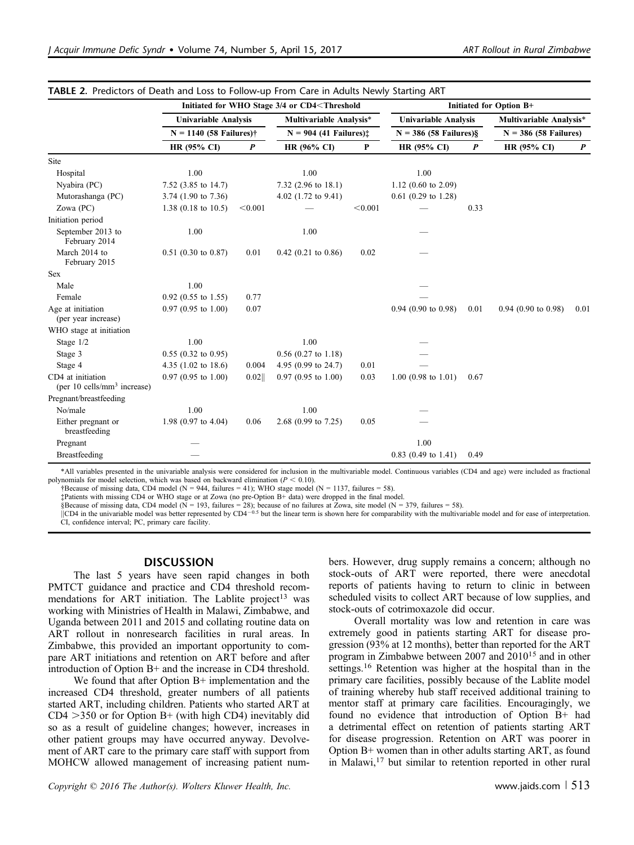|                                                              |                                | Initiated for WHO Stage 3/4 or CD4 <threshold< th=""><th colspan="5">Initiated for Option B+</th></threshold<> | Initiated for Option B+            |         |                             |      |                         |                  |  |
|--------------------------------------------------------------|--------------------------------|----------------------------------------------------------------------------------------------------------------|------------------------------------|---------|-----------------------------|------|-------------------------|------------------|--|
| <b>Univariable Analysis</b>                                  |                                |                                                                                                                | Multivariable Analysis*            |         | <b>Univariable Analysis</b> |      | Multivariable Analysis* |                  |  |
|                                                              | $N = 1140$ (58 Failures)†      |                                                                                                                | $N = 904$ (41 Failures) $\ddagger$ |         | $N = 386$ (58 Failures)§    |      | $N = 386$ (58 Failures) |                  |  |
|                                                              | <b>HR (95% CI)</b>             | $\boldsymbol{P}$                                                                                               | HR (96% CI)                        | P       | HR (95% CI)                 | P    | HR (95% CI)             | $\boldsymbol{P}$ |  |
| Site                                                         |                                |                                                                                                                |                                    |         |                             |      |                         |                  |  |
| Hospital                                                     | 1.00                           |                                                                                                                | 1.00                               |         | 1.00                        |      |                         |                  |  |
| Nyabira (PC)                                                 | 7.52 (3.85 to 14.7)            |                                                                                                                | 7.32 (2.96 to 18.1)                |         | 1.12 (0.60 to 2.09)         |      |                         |                  |  |
| Mutorashanga (PC)                                            | 3.74 (1.90 to 7.36)            |                                                                                                                | 4.02 (1.72 to 9.41)                |         | $0.61$ (0.29 to 1.28)       |      |                         |                  |  |
| Zowa (PC)                                                    | 1.38 (0.18 to 10.5)            | < 0.001                                                                                                        |                                    | < 0.001 |                             | 0.33 |                         |                  |  |
| Initiation period                                            |                                |                                                                                                                |                                    |         |                             |      |                         |                  |  |
| September 2013 to<br>February 2014                           | 1.00                           |                                                                                                                | 1.00                               |         |                             |      |                         |                  |  |
| March 2014 to<br>February 2015                               | $0.51$ (0.30 to 0.87)          | 0.01                                                                                                           | $0.42$ (0.21 to 0.86)              | 0.02    |                             |      |                         |                  |  |
| Sex                                                          |                                |                                                                                                                |                                    |         |                             |      |                         |                  |  |
| Male                                                         | 1.00                           |                                                                                                                |                                    |         |                             |      |                         |                  |  |
| Female                                                       | $0.92$ (0.55 to 1.55)          | 0.77                                                                                                           |                                    |         |                             |      |                         |                  |  |
| Age at initiation<br>(per year increase)                     | $0.97$ (0.95 to 1.00)          | 0.07                                                                                                           |                                    |         | $0.94$ (0.90 to 0.98)       | 0.01 | $0.94$ (0.90 to 0.98)   | 0.01             |  |
| WHO stage at initiation                                      |                                |                                                                                                                |                                    |         |                             |      |                         |                  |  |
| Stage 1/2                                                    | 1.00                           |                                                                                                                | 1.00                               |         |                             |      |                         |                  |  |
| Stage 3                                                      | $0.55$ (0.32 to 0.95)          |                                                                                                                | $0.56$ (0.27 to 1.18)              |         |                             |      |                         |                  |  |
| Stage 4                                                      | 4.35 $(1.02 \text{ to } 18.6)$ | 0.004                                                                                                          | 4.95 (0.99 to 24.7)                | 0.01    |                             |      |                         |                  |  |
| CD4 at initiation<br>(per 10 cells/mm <sup>3</sup> increase) | $0.97$ (0.95 to 1.00)          | 0.02                                                                                                           | $0.97$ (0.95 to 1.00)              | 0.03    | $1.00$ (0.98 to 1.01)       | 0.67 |                         |                  |  |
| Pregnant/breastfeeding                                       |                                |                                                                                                                |                                    |         |                             |      |                         |                  |  |
| No/male                                                      | 1.00                           |                                                                                                                | 1.00                               |         |                             |      |                         |                  |  |
| Either pregnant or<br>breastfeeding                          | 1.98 (0.97 to 4.04)            | 0.06                                                                                                           | 2.68 (0.99 to 7.25)                | 0.05    |                             |      |                         |                  |  |
| Pregnant                                                     |                                |                                                                                                                |                                    |         | 1.00                        |      |                         |                  |  |
| Breastfeeding                                                |                                |                                                                                                                |                                    |         | $0.83$ (0.49 to 1.41)       | 0.49 |                         |                  |  |

| <b>TABLE 2.</b> Predictors of Death and Loss to Follow-up From Care in Adults Newly Starting ART |  |  |  |  |
|--------------------------------------------------------------------------------------------------|--|--|--|--|
|--------------------------------------------------------------------------------------------------|--|--|--|--|

\*All variables presented in the univariable analysis were considered for inclusion in the multivariable model. Continuous variables (CD4 and age) were included as fractional polynomials for model selection, which was based on backward elimination ( $P < 0.10$ ).

†Because of missing data, CD4 model (N = 944, failures = 41); WHO stage model (N = 1137, failures = 58).

‡Patients with missing CD4 or WHO stage or at Zowa (no pre-Option B+ data) were dropped in the final model.

SBecause of missing data, CD4 model (N = 193, failures = 28); because of no failures at Zowa, site model (N = 379, failures = 58).<br>||CD4 in the univariable model was better represented by CD4<sup>-0.5</sup> but the linear term is CI, confidence interval; PC, primary care facility.

#### **DISCUSSION**

The last 5 years have seen rapid changes in both PMTCT guidance and practice and CD4 threshold recommendations for ART initiation. The Lablite project<sup>13</sup> was working with Ministries of Health in Malawi, Zimbabwe, and Uganda between 2011 and 2015 and collating routine data on ART rollout in nonresearch facilities in rural areas. In Zimbabwe, this provided an important opportunity to compare ART initiations and retention on ART before and after introduction of Option B+ and the increase in CD4 threshold.

We found that after Option B+ implementation and the increased CD4 threshold, greater numbers of all patients started ART, including children. Patients who started ART at  $CD4 > 350$  or for Option B+ (with high CD4) inevitably did so as a result of guideline changes; however, increases in other patient groups may have occurred anyway. Devolvement of ART care to the primary care staff with support from MOHCW allowed management of increasing patient numbers. However, drug supply remains a concern; although no stock-outs of ART were reported, there were anecdotal reports of patients having to return to clinic in between scheduled visits to collect ART because of low supplies, and stock-outs of cotrimoxazole did occur.

Overall mortality was low and retention in care was extremely good in patients starting ART for disease progression (93% at 12 months), better than reported for the ART program in Zimbabwe between 2007 and 2010<sup>15</sup> and in other settings.<sup>16</sup> Retention was higher at the hospital than in the primary care facilities, possibly because of the Lablite model of training whereby hub staff received additional training to mentor staff at primary care facilities. Encouragingly, we found no evidence that introduction of Option B+ had a detrimental effect on retention of patients starting ART for disease progression. Retention on ART was poorer in Option B+ women than in other adults starting ART, as found in Malawi, $17$  but similar to retention reported in other rural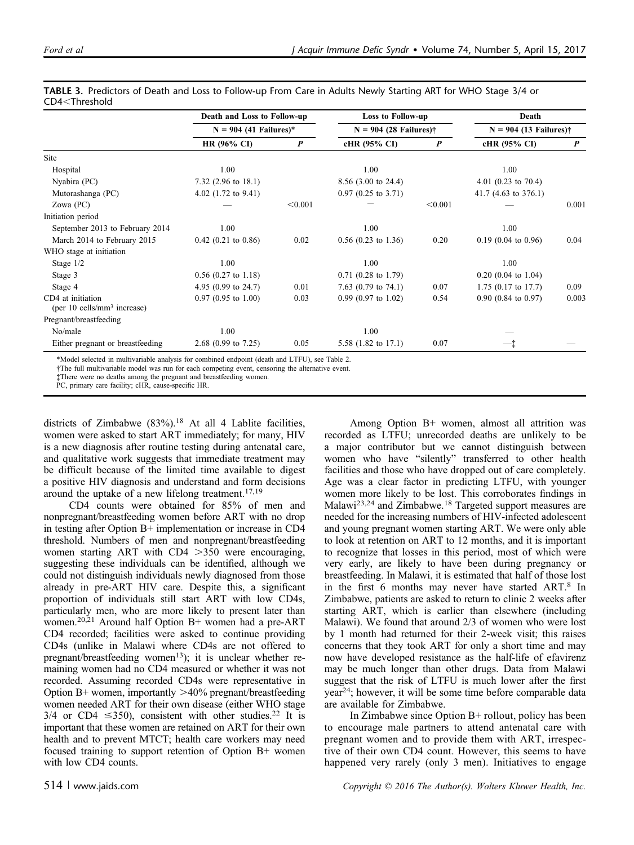|                                                                | Death and Loss to Follow-up    |                  |                                | Loss to Follow-up | Death                    |                  |  |
|----------------------------------------------------------------|--------------------------------|------------------|--------------------------------|-------------------|--------------------------|------------------|--|
|                                                                | $N = 904$ (41 Failures)*       |                  | $N = 904$ (28 Failures)†       |                   | $N = 904$ (13 Failures)† |                  |  |
|                                                                | HR (96% CI)                    | $\boldsymbol{P}$ | cHR (95% CI)                   | $\boldsymbol{P}$  | cHR (95% CI)             | $\boldsymbol{P}$ |  |
| Site                                                           |                                |                  |                                |                   |                          |                  |  |
| Hospital                                                       | 1.00                           |                  | 1.00                           |                   | 1.00                     |                  |  |
| Nyabira (PC)                                                   | 7.32 (2.96 to 18.1)            |                  | $8.56$ (3.00 to 24.4)          |                   | 4.01 (0.23 to 70.4)      |                  |  |
| Mutorashanga (PC)                                              | 4.02 $(1.72 \text{ to } 9.41)$ |                  | $0.97(0.25 \text{ to } 3.71)$  |                   | 41.7 (4.63 to 376.1)     |                  |  |
| $Zowa$ ( $PC$ )                                                |                                | < 0.001          |                                | < 0.001           |                          | 0.001            |  |
| Initiation period                                              |                                |                  |                                |                   |                          |                  |  |
| September 2013 to February 2014                                | 1.00                           |                  | 1.00                           |                   | 1.00                     |                  |  |
| March 2014 to February 2015                                    | $0.42$ (0.21 to 0.86)          | 0.02             | $0.56$ (0.23 to 1.36)          | 0.20              | $0.19$ (0.04 to 0.96)    | 0.04             |  |
| WHO stage at initiation                                        |                                |                  |                                |                   |                          |                  |  |
| Stage $1/2$                                                    | 1.00                           |                  | 1.00                           |                   | 1.00                     |                  |  |
| Stage 3                                                        | $0.56$ (0.27 to 1.18)          |                  | $0.71$ (0.28 to 1.79)          |                   | $0.20$ (0.04 to 1.04)    |                  |  |
| Stage 4                                                        | 4.95 $(0.99 \text{ to } 24.7)$ | 0.01             | 7.63 $(0.79 \text{ to } 74.1)$ | 0.07              | $1.75$ (0.17 to 17.7)    | 0.09             |  |
| CD4 at initiation<br>(per $10$ cells/mm <sup>3</sup> increase) | $0.97(0.95 \text{ to } 1.00)$  | 0.03             | $0.99(0.97 \text{ to } 1.02)$  | 0.54              | $0.90$ (0.84 to 0.97)    | 0.003            |  |
| Pregnant/breastfeeding                                         |                                |                  |                                |                   |                          |                  |  |
| No/male                                                        | 1.00                           |                  | 1.00                           |                   |                          |                  |  |
| Either pregnant or breastfeeding                               | 2.68 $(0.99 \text{ to } 7.25)$ | 0.05             | 5.58 $(1.82 \text{ to } 17.1)$ | 0.07              | —‡                       |                  |  |

TABLE 3. Predictors of Death and Loss to Follow-up From Care in Adults Newly Starting ART for WHO Stage 3/4 or CD4<Threshold

\*Model selected in multivariable analysis for combined endpoint (death and LTFU), see Table 2.

†The full multivariable model was run for each competing event, censoring the alternative event.

‡There were no deaths among the pregnant and breastfeeding women.

PC, primary care facility; cHR, cause-specific HR.

districts of Zimbabwe (83%).<sup>18</sup> At all 4 Lablite facilities, women were asked to start ART immediately; for many, HIV is a new diagnosis after routine testing during antenatal care, and qualitative work suggests that immediate treatment may be difficult because of the limited time available to digest a positive HIV diagnosis and understand and form decisions around the uptake of a new lifelong treatment. $17,19$ 

CD4 counts were obtained for 85% of men and nonpregnant/breastfeeding women before ART with no drop in testing after Option B+ implementation or increase in CD4 threshold. Numbers of men and nonpregnant/breastfeeding women starting ART with  $CD4 > 350$  were encouraging, suggesting these individuals can be identified, although we could not distinguish individuals newly diagnosed from those already in pre-ART HIV care. Despite this, a significant proportion of individuals still start ART with low CD4s, particularly men, who are more likely to present later than women.20,21 Around half Option B+ women had a pre-ART CD4 recorded; facilities were asked to continue providing CD4s (unlike in Malawi where CD4s are not offered to pregnant/breastfeeding women<sup>13</sup>); it is unclear whether remaining women had no CD4 measured or whether it was not recorded. Assuming recorded CD4s were representative in Option B+ women, importantly  $>40\%$  pregnant/breastfeeding women needed ART for their own disease (either WHO stage  $3/4$  or CD4  $\leq$ 350), consistent with other studies.<sup>22</sup> It is important that these women are retained on ART for their own health and to prevent MTCT; health care workers may need focused training to support retention of Option B+ women with low CD4 counts.

a major contributor but we cannot distinguish between women who have "silently" transferred to other health facilities and those who have dropped out of care completely. Age was a clear factor in predicting LTFU, with younger women more likely to be lost. This corroborates findings in Malawi<sup>23,24</sup> and Zimbabwe.<sup>18</sup> Targeted support measures are needed for the increasing numbers of HIV-infected adolescent and young pregnant women starting ART. We were only able to look at retention on ART to 12 months, and it is important to recognize that losses in this period, most of which were very early, are likely to have been during pregnancy or breastfeeding. In Malawi, it is estimated that half of those lost in the first 6 months may never have started ART.<sup>8</sup> In Zimbabwe, patients are asked to return to clinic 2 weeks after starting ART, which is earlier than elsewhere (including Malawi). We found that around 2/3 of women who were lost by 1 month had returned for their 2-week visit; this raises concerns that they took ART for only a short time and may now have developed resistance as the half-life of efavirenz may be much longer than other drugs. Data from Malawi suggest that the risk of LTFU is much lower after the first year24; however, it will be some time before comparable data are available for Zimbabwe.

Among Option B+ women, almost all attrition was recorded as LTFU; unrecorded deaths are unlikely to be

In Zimbabwe since Option B+ rollout, policy has been to encourage male partners to attend antenatal care with pregnant women and to provide them with ART, irrespective of their own CD4 count. However, this seems to have happened very rarely (only 3 men). Initiatives to engage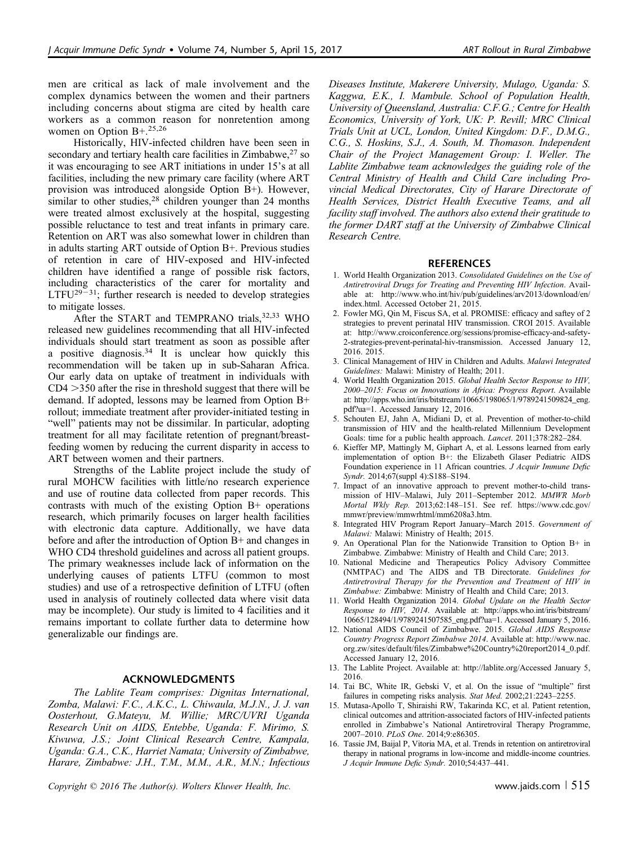men are critical as lack of male involvement and the complex dynamics between the women and their partners including concerns about stigma are cited by health care workers as a common reason for nonretention among women on Option B+.25,26

Historically, HIV-infected children have been seen in secondary and tertiary health care facilities in Zimbabwe,  $27$  so it was encouraging to see ART initiations in under 15's at all facilities, including the new primary care facility (where ART provision was introduced alongside Option B+). However, similar to other studies,<sup>28</sup> children younger than 24 months were treated almost exclusively at the hospital, suggesting possible reluctance to test and treat infants in primary care. Retention on ART was also somewhat lower in children than in adults starting ART outside of Option B+. Previous studies of retention in care of HIV-exposed and HIV-infected children have identified a range of possible risk factors, including characteristics of the carer for mortality and  $LTFU^{29-31}$ ; further research is needed to develop strategies to mitigate losses.

After the START and TEMPRANO trials,<sup>32,33</sup> WHO released new guidelines recommending that all HIV-infected individuals should start treatment as soon as possible after a positive diagnosis.<sup>34</sup> It is unclear how quickly this recommendation will be taken up in sub-Saharan Africa. Our early data on uptake of treatment in individuals with  $CD4 > 350$  after the rise in threshold suggest that there will be demand. If adopted, lessons may be learned from Option B+ rollout; immediate treatment after provider-initiated testing in "well" patients may not be dissimilar. In particular, adopting treatment for all may facilitate retention of pregnant/breastfeeding women by reducing the current disparity in access to ART between women and their partners.

Strengths of the Lablite project include the study of rural MOHCW facilities with little/no research experience and use of routine data collected from paper records. This contrasts with much of the existing Option B+ operations research, which primarily focuses on larger health facilities with electronic data capture. Additionally, we have data before and after the introduction of Option B+ and changes in WHO CD4 threshold guidelines and across all patient groups. The primary weaknesses include lack of information on the underlying causes of patients LTFU (common to most studies) and use of a retrospective definition of LTFU (often used in analysis of routinely collected data where visit data may be incomplete). Our study is limited to 4 facilities and it remains important to collate further data to determine how generalizable our findings are.

## ACKNOWLEDGMENTS

The Lablite Team comprises: Dignitas International, Zomba, Malawi: F.C., A.K.C., L. Chiwaula, M.J.N., J. J. van Oosterhout, G.Mateyu, M. Willie; MRC/UVRI Uganda Research Unit on AIDS, Entebbe, Uganda: F. Mirimo, S. Kiwuwa, J.S.; Joint Clinical Research Centre, Kampala, Uganda: G.A., C.K., Harriet Namata; University of Zimbabwe, Harare, Zimbabwe: J.H., T.M., M.M., A.R., M.N.; Infectious

 $Copyright © 2016 The Author(s). Wolters Kluwer Health, Inc.$  www.jaids.com | 515

Diseases Institute, Makerere University, Mulago, Uganda: S. Kaggwa, E.K., I. Mambule. School of Population Health, University of Queensland, Australia: C.F.G.; Centre for Health Economics, University of York, UK: P. Revill; MRC Clinical Trials Unit at UCL, London, United Kingdom: D.F., D.M.G., C.G., S. Hoskins, S.J., A. South, M. Thomason. Independent Chair of the Project Management Group: I. Weller. The Lablite Zimbabwe team acknowledges the guiding role of the Central Ministry of Health and Child Care including Provincial Medical Directorates, City of Harare Directorate of Health Services, District Health Executive Teams, and all facility staff involved. The authors also extend their gratitude to the former DART staff at the University of Zimbabwe Clinical Research Centre.

#### REFERENCES

- 1. World Health Organization 2013. Consolidated Guidelines on the Use of Antiretroviral Drugs for Treating and Preventing HIV Infection. Available at: [http://www.who.int/hiv/pub/guidelines/arv2013/download/en/](http://www.who.int/hiv/pub/guidelines/arv2013/download/en/index.html) [index.html.](http://www.who.int/hiv/pub/guidelines/arv2013/download/en/index.html) Accessed October 21, 2015.
- 2. Fowler MG, Qin M, Fiscus SA, et al. PROMISE: efficacy and saftey of 2 strategies to prevent perinatal HIV transmission. CROI 2015. Available at: [http://www.croiconference.org/sessions/promise-ef](http://www.croiconference.org/sessions/promise-efficacy-and-safety-2-strategies-prevent-perinatal-hiv-transmission)ficacy-and-safety-[2-strategies-prevent-perinatal-hiv-transmission](http://www.croiconference.org/sessions/promise-efficacy-and-safety-2-strategies-prevent-perinatal-hiv-transmission). Accessed January 12, 2016. 2015.
- 3. Clinical Management of HIV in Children and Adults. Malawi Integrated Guidelines: Malawi: Ministry of Health; 2011.
- 4. World Health Organization 2015. Global Health Sector Response to HIV, 2000–2015: Focus on Innovations in Africa: Progress Report. Available at: [http://apps.who.int/iris/bitstream/10665/198065/1/9789241509824\\_eng.](http://apps.who.int/iris/bitstream/10665/198065/1/9789241509824_eng.pdf?ua=1) [pdf?ua=1.](http://apps.who.int/iris/bitstream/10665/198065/1/9789241509824_eng.pdf?ua=1) Accessed January 12, 2016.
- 5. Schouten EJ, Jahn A, Midiani D, et al. Prevention of mother-to-child transmission of HIV and the health-related Millennium Development Goals: time for a public health approach. Lancet. 2011;378:282–284.
- 6. Kieffer MP, Mattingly M, Giphart A, et al. Lessons learned from early implementation of option B+: the Elizabeth Glaser Pediatric AIDS Foundation experience in 11 African countries. J Acquir Immune Defic Syndr. 2014;67(suppl 4):S188–S194.
- 7. Impact of an innovative approach to prevent mother-to-child transmission of HIV–Malawi, July 2011–September 2012. MMWR Morb Mortal Wkly Rep. 2013;62:148–151. See ref. [https://www.cdc.gov/](https://www.cdc.gov/mmwr/preview/mmwrhtml/mm6208a3.htm) [mmwr/preview/mmwrhtml/mm6208a3.htm.](https://www.cdc.gov/mmwr/preview/mmwrhtml/mm6208a3.htm)
- 8. Integrated HIV Program Report January–March 2015. Government of Malawi: Malawi: Ministry of Health; 2015.
- 9. An Operational Plan for the Nationwide Transition to Option B+ in Zimbabwe. Zimbabwe: Ministry of Health and Child Care; 2013.
- 10. National Medicine and Therapeutics Policy Advisory Committee (NMTPAC) and The AIDS and TB Directorate. Guidelines for Antiretroviral Therapy for the Prevention and Treatment of HIV in Zimbabwe: Zimbabwe: Ministry of Health and Child Care; 2013.
- 11. World Health Organization 2014. Global Update on the Health Sector Response to HIV, 2014. Available at: [http://apps.who.int/iris/bitstream/](http://apps.who.int/iris/bitstream/10665/128494/1/9789241507585_eng.pdf?ua=1) [10665/128494/1/9789241507585\\_eng.pdf?ua=1.](http://apps.who.int/iris/bitstream/10665/128494/1/9789241507585_eng.pdf?ua=1) Accessed January 5, 2016.
- 12. National AIDS Council of Zimbabwe. 2015. Global AIDS Response Country Progress Report Zimbabwe 2014. Available at: [http://www.nac.](http://www.nac.org.zw/sites/default/files/Zimbabwe%20Country%20report2014_0.pdf) org.zw/sites/default/fi[les/Zimbabwe%20Country%20report2014\\_0.pdf.](http://www.nac.org.zw/sites/default/files/Zimbabwe%20Country%20report2014_0.pdf) Accessed January 12, 2016.
- 13. The Lablite Project. Available at: [http://lablite.org/A](http://lablite.org/)ccessed January 5, 2016.
- 14. Tai BC, White IR, Gebski V, et al. On the issue of "multiple" first failures in competing risks analysis. Stat Med. 2002;21:2243–2255.
- 15. Mutasa-Apollo T, Shiraishi RW, Takarinda KC, et al. Patient retention, clinical outcomes and attrition-associated factors of HIV-infected patients enrolled in Zimbabwe's National Antiretroviral Therapy Programme, 2007–2010. PLoS One. 2014;9:e86305.
- 16. Tassie JM, Baijal P, Vitoria MA, et al. Trends in retention on antiretroviral therapy in national programs in low-income and middle-income countries. J Acquir Immune Defic Syndr. 2010;54:437–441.